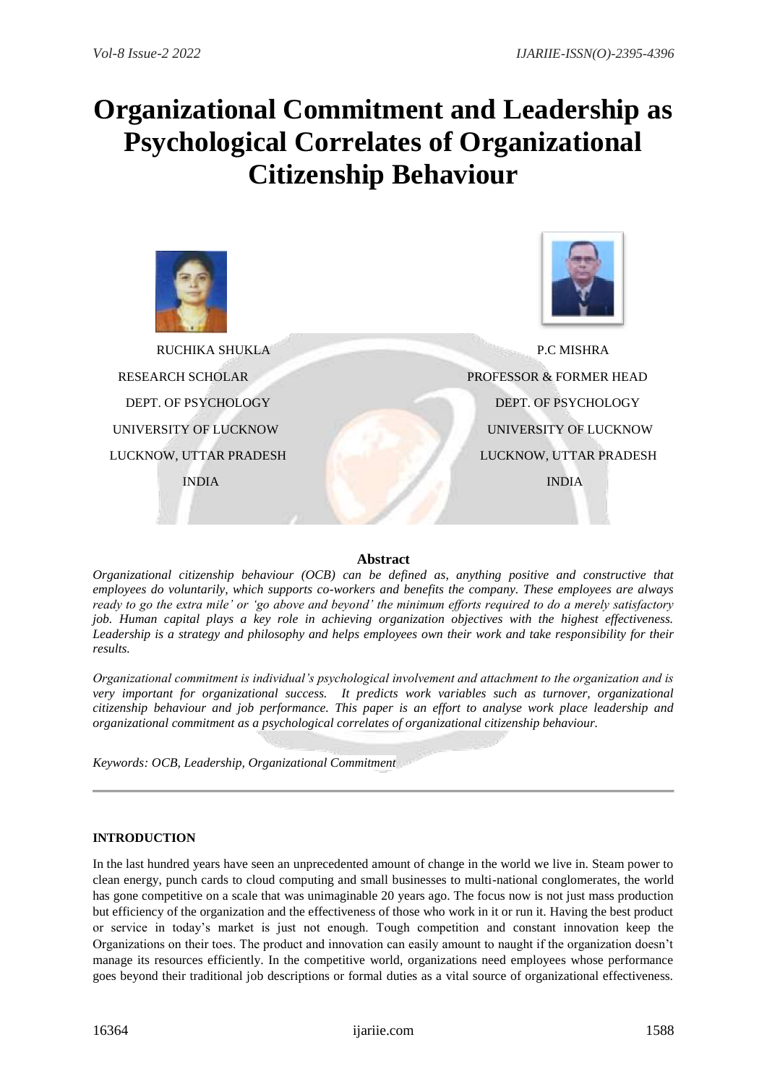# **Organizational Commitment and Leadership as Psychological Correlates of Organizational Citizenship Behaviour**



# **Abstract**

*Organizational citizenship behaviour (OCB) can be defined as, anything positive and constructive that employees do voluntarily, which supports co-workers and benefits the company. These employees are always ready to go the extra mile' or 'go above and beyond' the minimum efforts required to do a merely satisfactory job. Human capital plays a key role in achieving organization objectives with the highest effectiveness. Leadership is a strategy and philosophy and helps employees own their work and take responsibility for their results.* 

*Organizational commitment is individual's psychological involvement and attachment to the organization and is very important for organizational success. It predicts work variables such as turnover, organizational citizenship behaviour and job performance. This paper is an effort to analyse work place leadership and organizational commitment as a psychological correlates of organizational citizenship behaviour.*

*Keywords: OCB, Leadership, Organizational Commitment*

# **INTRODUCTION**

In the last hundred years have seen an unprecedented amount of change in the world we live in. Steam power to clean energy, punch cards to cloud computing and small businesses to multi-national conglomerates, the world has gone competitive on a scale that was unimaginable 20 years ago. The focus now is not just mass production but efficiency of the organization and the effectiveness of those who work in it or run it. Having the best product or service in today's market is just not enough. Tough competition and constant innovation keep the Organizations on their toes. The product and innovation can easily amount to naught if the organization doesn't manage its resources efficiently. In the competitive world, organizations need employees whose performance goes beyond their traditional job descriptions or formal duties as a vital source of organizational effectiveness.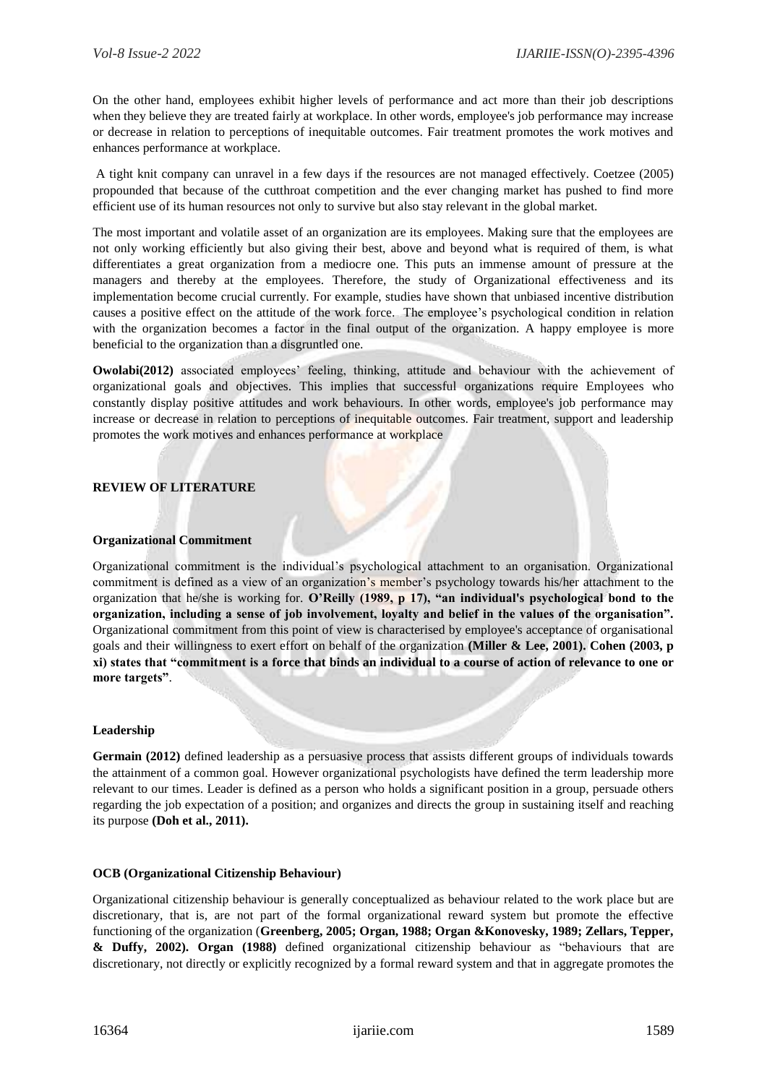On the other hand, employees exhibit higher levels of performance and act more than their job descriptions when they believe they are treated fairly at workplace. In other words, employee's job performance may increase or decrease in relation to perceptions of inequitable outcomes. Fair treatment promotes the work motives and enhances performance at workplace.

A tight knit company can unravel in a few days if the resources are not managed effectively. Coetzee (2005) propounded that because of the cutthroat competition and the ever changing market has pushed to find more efficient use of its human resources not only to survive but also stay relevant in the global market.

The most important and volatile asset of an organization are its employees. Making sure that the employees are not only working efficiently but also giving their best, above and beyond what is required of them, is what differentiates a great organization from a mediocre one. This puts an immense amount of pressure at the managers and thereby at the employees. Therefore, the study of Organizational effectiveness and its implementation become crucial currently. For example, studies have shown that unbiased incentive distribution causes a positive effect on the attitude of the work force. The employee's psychological condition in relation with the organization becomes a factor in the final output of the organization. A happy employee is more beneficial to the organization than a disgruntled one.

**Owolabi(2012)** associated employees' feeling, thinking, attitude and behaviour with the achievement of organizational goals and objectives. This implies that successful organizations require Employees who constantly display positive attitudes and work behaviours. In other words, employee's job performance may increase or decrease in relation to perceptions of inequitable outcomes. Fair treatment, support and leadership promotes the work motives and enhances performance at workplace

## **REVIEW OF LITERATURE**

#### **Organizational Commitment**

Organizational commitment is the individual's psychological attachment to an organisation. Organizational commitment is defined as a view of an organization's member's psychology towards his/her attachment to the organization that he/she is working for. **O'Reilly (1989, p 17), "an individual's psychological bond to the organization, including a sense of job involvement, loyalty and belief in the values of the organisation".** Organizational commitment from this point of view is characterised by employee's acceptance of organisational goals and their willingness to exert effort on behalf of the organization **(Miller & Lee, 2001). Cohen (2003, p xi) states that "commitment is a force that binds an individual to a course of action of relevance to one or more targets"**.

## **Leadership**

**Germain (2012)** defined leadership as a persuasive process that assists different groups of individuals towards the attainment of a common goal. However organizational psychologists have defined the term leadership more relevant to our times. Leader is defined as a person who holds a significant position in a group, persuade others regarding the job expectation of a position; and organizes and directs the group in sustaining itself and reaching its purpose **(Doh et al., 2011).** 

## **OCB (Organizational Citizenship Behaviour)**

Organizational citizenship behaviour is generally conceptualized as behaviour related to the work place but are discretionary, that is, are not part of the formal organizational reward system but promote the effective functioning of the organization (**Greenberg, 2005; Organ, 1988; Organ &Konovesky, 1989; Zellars, Tepper, & Duffy, 2002). Organ (1988)** defined organizational citizenship behaviour as "behaviours that are discretionary, not directly or explicitly recognized by a formal reward system and that in aggregate promotes the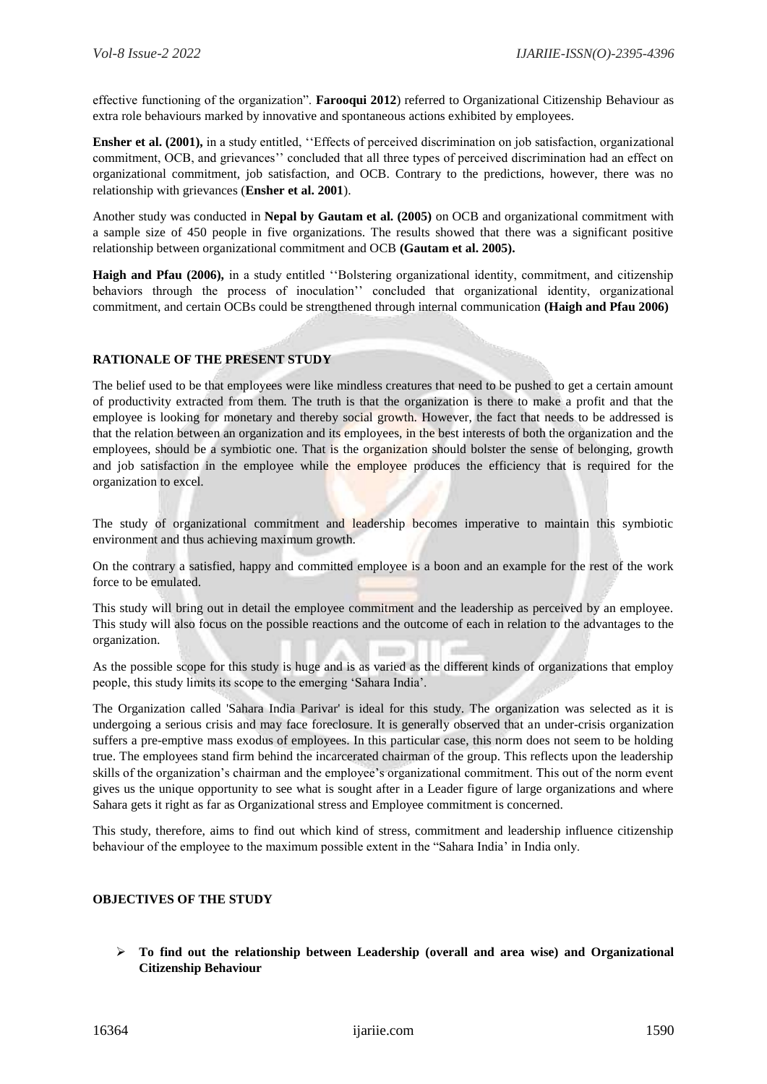effective functioning of the organization". **Farooqui 2012**) referred to Organizational Citizenship Behaviour as extra role behaviours marked by innovative and spontaneous actions exhibited by employees.

**Ensher et al. (2001),** in a study entitled, "Effects of perceived discrimination on job satisfaction, organizational commitment, OCB, and grievances'' concluded that all three types of perceived discrimination had an effect on organizational commitment, job satisfaction, and OCB. Contrary to the predictions, however, there was no relationship with grievances (**Ensher et al. 2001**).

Another study was conducted in **Nepal by Gautam et al. (2005)** on OCB and organizational commitment with a sample size of 450 people in five organizations. The results showed that there was a significant positive relationship between organizational commitment and OCB **(Gautam et al. 2005).** 

**Haigh and Pfau (2006),** in a study entitled ''Bolstering organizational identity, commitment, and citizenship behaviors through the process of inoculation'' concluded that organizational identity, organizational commitment, and certain OCBs could be strengthened through internal communication **(Haigh and Pfau 2006)**

# **RATIONALE OF THE PRESENT STUDY**

The belief used to be that employees were like mindless creatures that need to be pushed to get a certain amount of productivity extracted from them. The truth is that the organization is there to make a profit and that the employee is looking for monetary and thereby social growth. However, the fact that needs to be addressed is that the relation between an organization and its employees, in the best interests of both the organization and the employees, should be a symbiotic one. That is the organization should bolster the sense of belonging, growth and job satisfaction in the employee while the employee produces the efficiency that is required for the organization to excel.

The study of organizational commitment and leadership becomes imperative to maintain this symbiotic environment and thus achieving maximum growth.

On the contrary a satisfied, happy and committed employee is a boon and an example for the rest of the work force to be emulated.

This study will bring out in detail the employee commitment and the leadership as perceived by an employee. This study will also focus on the possible reactions and the outcome of each in relation to the advantages to the organization.

As the possible scope for this study is huge and is as varied as the different kinds of organizations that employ people, this study limits its scope to the emerging 'Sahara India'.

The Organization called 'Sahara India Parivar' is ideal for this study. The organization was selected as it is undergoing a serious crisis and may face foreclosure. It is generally observed that an under-crisis organization suffers a pre-emptive mass exodus of employees. In this particular case, this norm does not seem to be holding true. The employees stand firm behind the incarcerated chairman of the group. This reflects upon the leadership skills of the organization's chairman and the employee's organizational commitment. This out of the norm event gives us the unique opportunity to see what is sought after in a Leader figure of large organizations and where Sahara gets it right as far as Organizational stress and Employee commitment is concerned.

This study, therefore, aims to find out which kind of stress, commitment and leadership influence citizenship behaviour of the employee to the maximum possible extent in the "Sahara India' in India only.

## **OBJECTIVES OF THE STUDY**

 **To find out the relationship between Leadership (overall and area wise) and Organizational Citizenship Behaviour**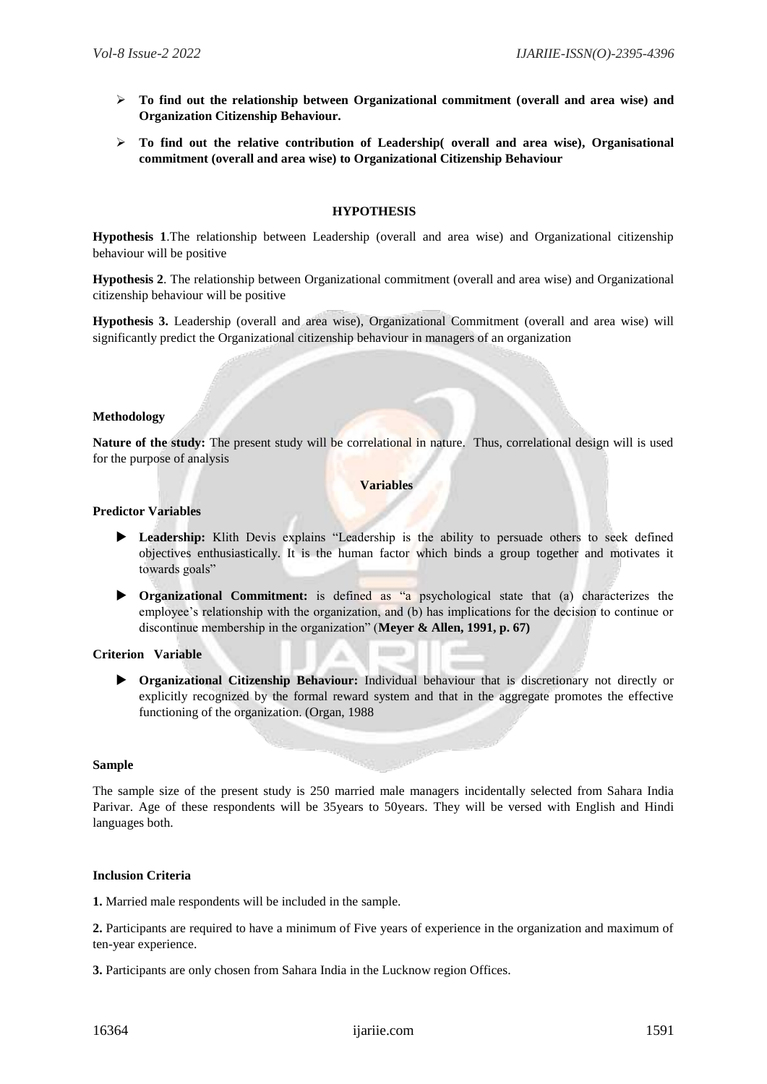- **To find out the relationship between Organizational commitment (overall and area wise) and Organization Citizenship Behaviour.**
- **To find out the relative contribution of Leadership( overall and area wise), Organisational commitment (overall and area wise) to Organizational Citizenship Behaviour**

## **HYPOTHESIS**

**Hypothesis 1**.The relationship between Leadership (overall and area wise) and Organizational citizenship behaviour will be positive

**Hypothesis 2**. The relationship between Organizational commitment (overall and area wise) and Organizational citizenship behaviour will be positive

**Hypothesis 3.** Leadership (overall and area wise), Organizational Commitment (overall and area wise) will significantly predict the Organizational citizenship behaviour in managers of an organization

## **Methodology**

**Nature of the study:** The present study will be correlational in nature. Thus, correlational design will is used for the purpose of analysis

#### **Variables**

#### **Predictor Variables**

- **Leadership:** Klith Devis explains "Leadership is the ability to persuade others to seek defined objectives enthusiastically. It is the human factor which binds a group together and motivates it towards goals"
- **Organizational Commitment:** is defined as "a psychological state that (a) characterizes the employee's relationship with the organization, and (b) has implications for the decision to continue or discontinue membership in the organization" (**Meyer & Allen, 1991, p. 67)**

## **Criterion Variable**

 **Organizational Citizenship Behaviour:** Individual behaviour that is discretionary not directly or explicitly recognized by the formal reward system and that in the aggregate promotes the effective functioning of the organization. (Organ, 1988

#### **Sample**

The sample size of the present study is 250 married male managers incidentally selected from Sahara India Parivar. Age of these respondents will be 35years to 50years. They will be versed with English and Hindi languages both.

## **Inclusion Criteria**

**1.** Married male respondents will be included in the sample.

**2.** Participants are required to have a minimum of Five years of experience in the organization and maximum of ten-year experience.

**3.** Participants are only chosen from Sahara India in the Lucknow region Offices.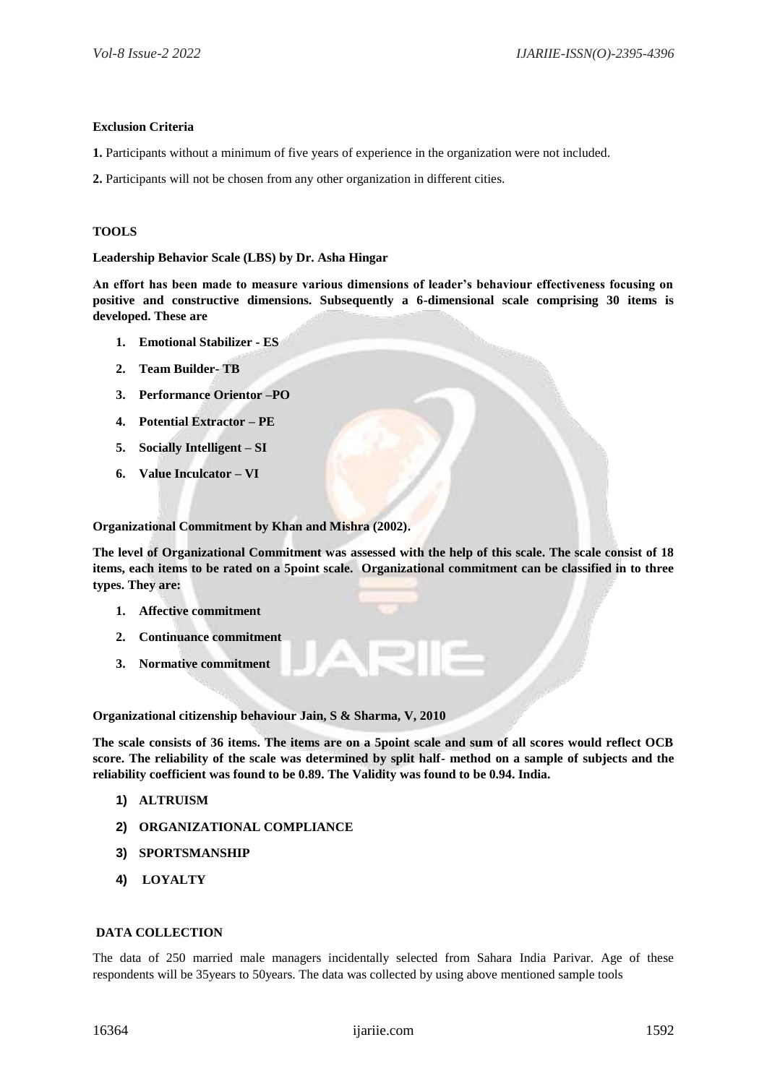#### **Exclusion Criteria**

- **1.** Participants without a minimum of five years of experience in the organization were not included.
- **2.** Participants will not be chosen from any other organization in different cities.

#### **TOOLS**

**Leadership Behavior Scale (LBS) by Dr. Asha Hingar**

**An effort has been made to measure various dimensions of leader's behaviour effectiveness focusing on positive and constructive dimensions. Subsequently a 6-dimensional scale comprising 30 items is developed. These are**

- **1. Emotional Stabilizer - ES**
- **2. Team Builder- TB**
- **3. Performance Orientor –PO**
- **4. Potential Extractor – PE**
- **5. Socially Intelligent – SI**
- **6. Value Inculcator – VI**

**Organizational Commitment by Khan and Mishra (2002).** 

**The level of Organizational Commitment was assessed with the help of this scale. The scale consist of 18 items, each items to be rated on a 5point scale. Organizational commitment can be classified in to three types. They are:**

- **1. Affective commitment**
- **2. Continuance commitment**
- **3. Normative commitment**

**Organizational citizenship behaviour Jain, S & Sharma, V, 2010**

**The scale consists of 36 items. The items are on a 5point scale and sum of all scores would reflect OCB score. The reliability of the scale was determined by split half- method on a sample of subjects and the reliability coefficient was found to be 0.89. The Validity was found to be 0.94. India.**

- **1) ALTRUISM**
- **2) ORGANIZATIONAL COMPLIANCE**
- **3) SPORTSMANSHIP**
- **4) LOYALTY**

#### **DATA COLLECTION**

The data of 250 married male managers incidentally selected from Sahara India Parivar. Age of these respondents will be 35years to 50years. The data was collected by using above mentioned sample tools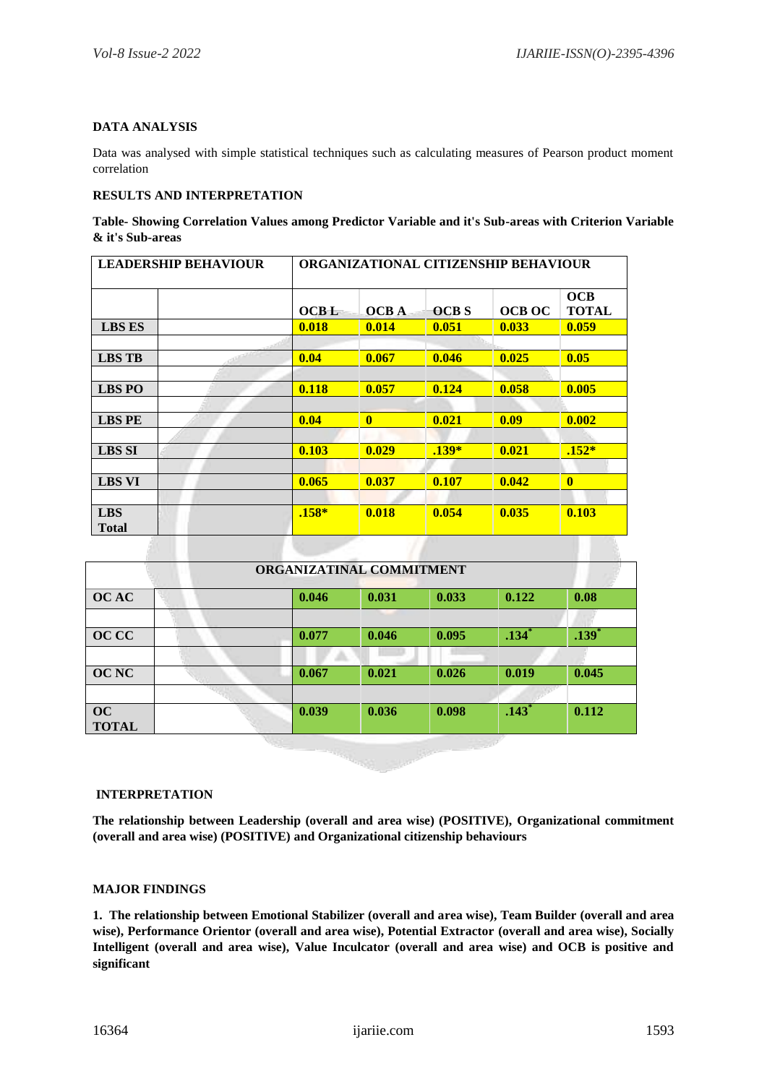## **DATA ANALYSIS**

Data was analysed with simple statistical techniques such as calculating measures of Pearson product moment correlation

## **RESULTS AND INTERPRETATION**

**Table- Showing Correlation Values among Predictor Variable and it's Sub-areas with Criterion Variable & it's Sub-areas**

| <b>LEADERSHIP BEHAVIOUR</b> |  | ORGANIZATIONAL CITIZENSHIP BEHAVIOUR |              |             |               |                     |  |  |
|-----------------------------|--|--------------------------------------|--------------|-------------|---------------|---------------------|--|--|
|                             |  | <b>OCBL</b>                          | <b>OCBA</b>  | <b>OCBS</b> | <b>OCB OC</b> | OCB<br><b>TOTAL</b> |  |  |
| <b>LBS ES</b>               |  | 0.018                                | 0.014        | 0.051       | 0.033         | 0.059               |  |  |
|                             |  |                                      |              |             |               |                     |  |  |
| <b>LBS TB</b>               |  | 0.04                                 | 0.067        | 0.046       | 0.025         | 0.05                |  |  |
|                             |  |                                      |              |             |               |                     |  |  |
| <b>LBS PO</b>               |  | 0.118                                | 0.057        | 0.124       | 0.058         | 0.005               |  |  |
|                             |  |                                      |              |             |               |                     |  |  |
| <b>LBS PE</b>               |  | 0.04                                 | $\mathbf{0}$ | 0.021       | 0.09          | 0.002               |  |  |
|                             |  |                                      |              |             |               |                     |  |  |
| <b>LBS SI</b>               |  | 0.103                                | 0.029        | $.139*$     | 0.021         | $.152*$             |  |  |
|                             |  |                                      |              |             |               |                     |  |  |
| <b>LBS VI</b>               |  | 0.065                                | 0.037        | 0.107       | 0.042         | $\mathbf{0}$        |  |  |
|                             |  |                                      |              |             |               |                     |  |  |
| <b>LBS</b><br><b>Total</b>  |  | $.158*$                              | 0.018        | 0.054       | 0.035         | 0.103               |  |  |

| ORGANIZATINAL COMMITMENT  |       |       |       |                     |                     |  |  |  |  |
|---------------------------|-------|-------|-------|---------------------|---------------------|--|--|--|--|
| <b>OCAC</b>               | 0.046 | 0.031 | 0.033 | 0.122               | 0.08                |  |  |  |  |
|                           |       |       |       |                     |                     |  |  |  |  |
| <b>OCCC</b>               | 0.077 | 0.046 | 0.095 | $.134$ <sup>*</sup> | $.139$ <sup>*</sup> |  |  |  |  |
|                           |       |       |       |                     |                     |  |  |  |  |
| <b>OC NC</b>              | 0.067 | 0.021 | 0.026 | 0.019               | 0.045               |  |  |  |  |
|                           |       |       |       |                     |                     |  |  |  |  |
| <b>OC</b><br><b>TOTAL</b> | 0.039 | 0.036 | 0.098 | .143 <sup>°</sup>   | 0.112               |  |  |  |  |

**INTERPRETATION**

AL I

**The relationship between Leadership (overall and area wise) (POSITIVE), Organizational commitment (overall and area wise) (POSITIVE) and Organizational citizenship behaviours**

## **MAJOR FINDINGS**

**1. The relationship between Emotional Stabilizer (overall and area wise), Team Builder (overall and area wise), Performance Orientor (overall and area wise), Potential Extractor (overall and area wise), Socially Intelligent (overall and area wise), Value Inculcator (overall and area wise) and OCB is positive and significant**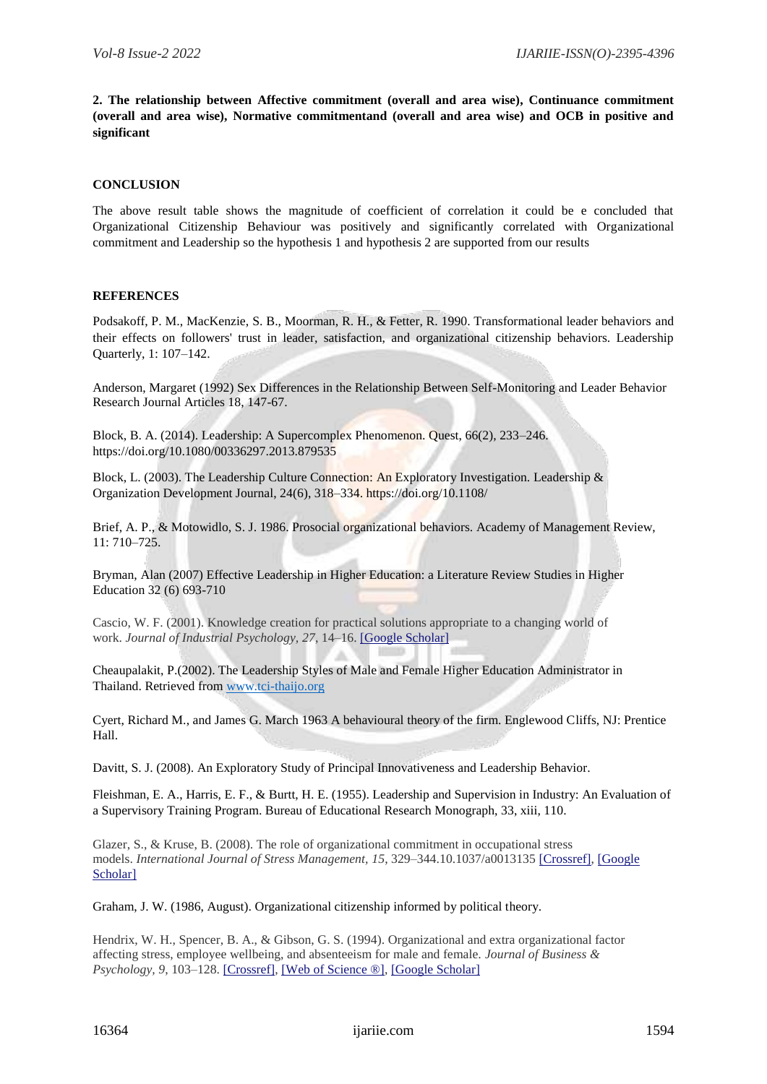**2. The relationship between Affective commitment (overall and area wise), Continuance commitment (overall and area wise), Normative commitmentand (overall and area wise) and OCB in positive and significant** 

## **CONCLUSION**

The above result table shows the magnitude of coefficient of correlation it could be e concluded that Organizational Citizenship Behaviour was positively and significantly correlated with Organizational commitment and Leadership so the hypothesis 1 and hypothesis 2 are supported from our results

## **REFERENCES**

Podsakoff, P. M., MacKenzie, S. B., Moorman, R. H., & Fetter, R. 1990. Transformational leader behaviors and their effects on followers' trust in leader, satisfaction, and organizational citizenship behaviors. Leadership Quarterly, 1: 107–142.

Anderson, Margaret (1992) Sex Differences in the Relationship Between Self-Monitoring and Leader Behavior Research Journal Articles 18, 147-67.

Block, B. A. (2014). Leadership: A Supercomplex Phenomenon. Quest, 66(2), 233–246. https://doi.org/10.1080/00336297.2013.879535

Block, L. (2003). The Leadership Culture Connection: An Exploratory Investigation. Leadership & Organization Development Journal, 24(6), 318–334. https://doi.org/10.1108/

Brief, A. P., & Motowidlo, S. J. 1986. Prosocial organizational behaviors. Academy of Management Review, 11: 710–725.

Bryman, Alan (2007) Effective Leadership in Higher Education: a Literature Review Studies in Higher Education 32 (6) 693-710

Cascio, W. F. (2001). Knowledge creation for practical solutions appropriate to a changing world of work. *Journal of Industrial Psychology, 27*, 14–16. [\[Google Scholar\]](http://scholar.google.com/scholar_lookup?hl=en&volume=27&publication_year=2001&pages=14-16&author=W.+F.+Cascio&title=Knowledge+creation+for+practical+solutions+appropriate+to+a+changing+world+of+work)

Cheaupalakit, P.(2002). The Leadership Styles of Male and Female Higher Education Administrator in Thailand. Retrieved from [www.tci-thaijo.org](http://www.tci-thaijo.org/)

Cyert, Richard M., and James G. March 1963 A behavioural theory of the firm. Englewood Cliffs, NJ: Prentice Hall.

Davitt, S. J. (2008). An Exploratory Study of Principal Innovativeness and Leadership Behavior.

Fleishman, E. A., Harris, E. F., & Burtt, H. E. (1955). Leadership and Supervision in Industry: An Evaluation of a Supervisory Training Program. Bureau of Educational Research Monograph, 33, xiii, 110.

Glazer, S., & Kruse, B. (2008). The role of organizational commitment in occupational stress models. *International Journal of Stress Management, 15*, 329–344.10.1037/a0013135 [\[Crossref\],](https://www.tandfonline.com/servlet/linkout?suffix=CIT0028&dbid=16&doi=10.1080%2F23311975.2015.1134034&key=10.1037%2Fa0013135) [\[Google](http://scholar.google.com/scholar_lookup?hl=en&volume=15&publication_year=2008&pages=329-344&author=S.+Glazer&author=B.+Kruse&title=The+role+of+organizational+commitment+in+occupational+stress+models&doi=10.1037%2Fa0013135)  [Scholar\]](http://scholar.google.com/scholar_lookup?hl=en&volume=15&publication_year=2008&pages=329-344&author=S.+Glazer&author=B.+Kruse&title=The+role+of+organizational+commitment+in+occupational+stress+models&doi=10.1037%2Fa0013135)

Graham, J. W. (1986, August). Organizational citizenship informed by political theory.

Hendrix, W. H., Spencer, B. A., & Gibson, G. S. (1994). Organizational and extra organizational factor affecting stress, employee wellbeing, and absenteeism for male and female. *Journal of Business & Psychology, 9*, 103–128. [\[Crossref\],](https://www.tandfonline.com/servlet/linkout?suffix=CIT0031&dbid=16&doi=10.1080%2F23311975.2015.1134034&key=10.1007%2FBF02230631) [\[Web of Science ®\],](https://www.tandfonline.com/servlet/linkout?suffix=CIT0031&dbid=128&doi=10.1080%2F23311975.2015.1134034&key=A1994PX17700001) [\[Google Scholar\]](http://scholar.google.com/scholar_lookup?hl=en&volume=9&publication_year=1994&pages=103-128&author=W.+H.+Hendrix&author=B.+A.+Spencer&author=G.+S.+Gibson&title=Organizational+and+extra+organizational+factor+affecting+stress%2C+employee+wellbeing%2C+and+absenteeism+for+male+and+female)